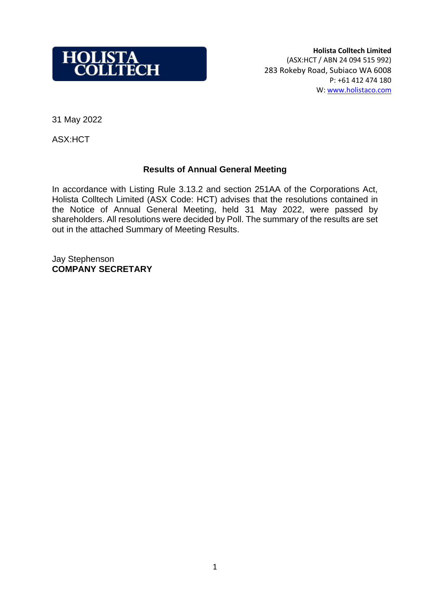

**Holista Colltech Limited**  (ASX:HCT / ABN 24 094 515 992) 283 Rokeby Road, Subiaco WA 6008 P: +61 412 474 180 W: [www.holistaco.com](http://www.holistaco.com/)

31 May 2022

ASX:HCT

## **Results of Annual General Meeting**

In accordance with Listing Rule 3.13.2 and section 251AA of the Corporations Act, Holista Colltech Limited (ASX Code: HCT) advises that the resolutions contained in the Notice of Annual General Meeting, held 31 May 2022, were passed by shareholders. All resolutions were decided by Poll. The summary of the results are set out in the attached Summary of Meeting Results.

Jay Stephenson **COMPANY SECRETARY**